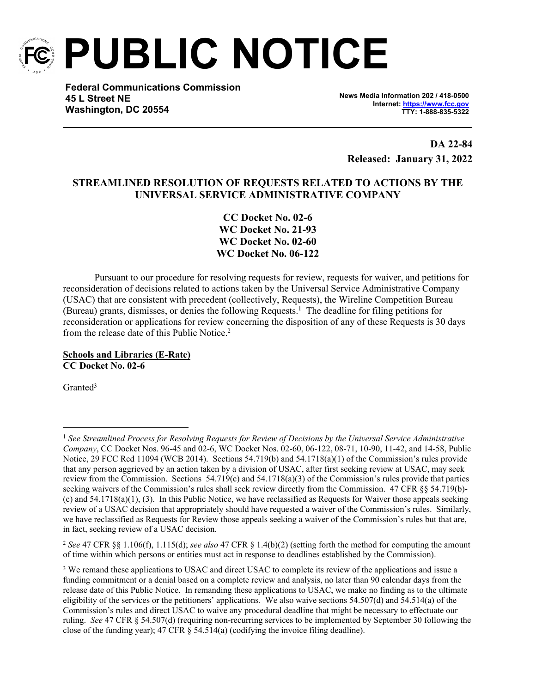

**PUBLIC NOTICE**

**Federal Communications Commission 45 L Street NE Washington, DC 20554**

**News Media Information 202 / 418-0500 Internet:<https://www.fcc.gov> TTY: 1-888-835-5322**

**DA 22-84 Released: January 31, 2022**

# **STREAMLINED RESOLUTION OF REQUESTS RELATED TO ACTIONS BY THE UNIVERSAL SERVICE ADMINISTRATIVE COMPANY**

**CC Docket No. 02-6 WC Docket No. 21-93 WC Docket No. 02-60 WC Docket No. 06-122**

Pursuant to our procedure for resolving requests for review, requests for waiver, and petitions for reconsideration of decisions related to actions taken by the Universal Service Administrative Company (USAC) that are consistent with precedent (collectively, Requests), the Wireline Competition Bureau (Bureau) grants, dismisses, or denies the following Requests.<sup>1</sup> The deadline for filing petitions for reconsideration or applications for review concerning the disposition of any of these Requests is 30 days from the release date of this Public Notice.<sup>2</sup>

**Schools and Libraries (E-Rate) CC Docket No. 02-6**

Granted<sup>3</sup>

<sup>1</sup> *See Streamlined Process for Resolving Requests for Review of Decisions by the Universal Service Administrative Company*, CC Docket Nos. 96-45 and 02-6, WC Docket Nos. 02-60, 06-122, 08-71, 10-90, 11-42, and 14-58, Public Notice, 29 FCC Rcd 11094 (WCB 2014). Sections 54.719(b) and 54.1718(a)(1) of the Commission's rules provide that any person aggrieved by an action taken by a division of USAC, after first seeking review at USAC, may seek review from the Commission. Sections 54.719(c) and 54.1718(a)(3) of the Commission's rules provide that parties seeking waivers of the Commission's rules shall seek review directly from the Commission. 47 CFR §§ 54.719(b)-(c) and 54.1718(a)(1), (3). In this Public Notice, we have reclassified as Requests for Waiver those appeals seeking review of a USAC decision that appropriately should have requested a waiver of the Commission's rules. Similarly, we have reclassified as Requests for Review those appeals seeking a waiver of the Commission's rules but that are, in fact, seeking review of a USAC decision.

<sup>2</sup> *See* 47 CFR §§ 1.106(f), 1.115(d); *see also* 47 CFR § 1.4(b)(2) (setting forth the method for computing the amount of time within which persons or entities must act in response to deadlines established by the Commission).

<sup>&</sup>lt;sup>3</sup> We remand these applications to USAC and direct USAC to complete its review of the applications and issue a funding commitment or a denial based on a complete review and analysis, no later than 90 calendar days from the release date of this Public Notice. In remanding these applications to USAC, we make no finding as to the ultimate eligibility of the services or the petitioners' applications. We also waive sections 54.507(d) and 54.514(a) of the Commission's rules and direct USAC to waive any procedural deadline that might be necessary to effectuate our ruling. *See* 47 CFR § 54.507(d) (requiring non-recurring services to be implemented by September 30 following the close of the funding year); 47 CFR § 54.514(a) (codifying the invoice filing deadline).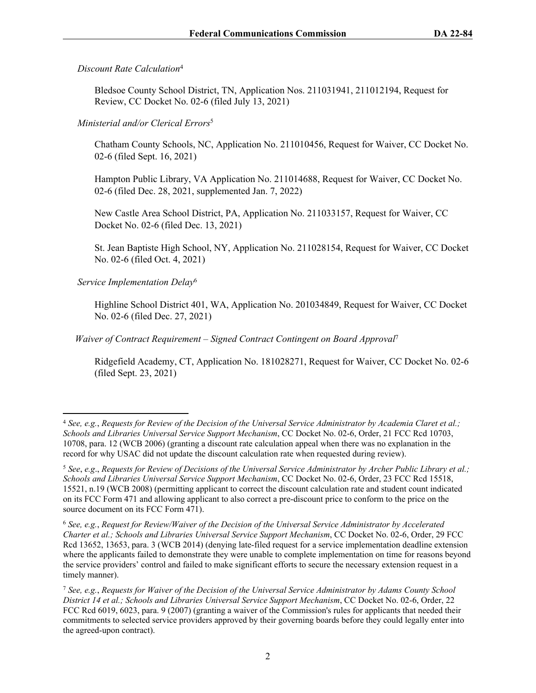## *Discount Rate Calculation*<sup>4</sup>

Bledsoe County School District, TN, Application Nos. 211031941, 211012194, Request for Review, CC Docket No. 02-6 (filed July 13, 2021)

## *Ministerial and/or Clerical Errors*<sup>5</sup>

Chatham County Schools, NC, Application No. 211010456, Request for Waiver, CC Docket No. 02-6 (filed Sept. 16, 2021)

Hampton Public Library, VA Application No. 211014688, Request for Waiver, CC Docket No. 02-6 (filed Dec. 28, 2021, supplemented Jan. 7, 2022)

New Castle Area School District, PA, Application No. 211033157, Request for Waiver, CC Docket No. 02-6 (filed Dec. 13, 2021)

St. Jean Baptiste High School, NY, Application No. 211028154, Request for Waiver, CC Docket No. 02-6 (filed Oct. 4, 2021)

## *Service Implementation Delay*<sup>6</sup>

Highline School District 401, WA, Application No. 201034849, Request for Waiver, CC Docket No. 02-6 (filed Dec. 27, 2021)

 *Waiver of Contract Requirement – Signed Contract Contingent on Board Approval*<sup>7</sup>

Ridgefield Academy, CT, Application No. 181028271, Request for Waiver, CC Docket No. 02-6 (filed Sept. 23, 2021)

<sup>4</sup> *See, e.g.*, *Requests for Review of the Decision of the Universal Service Administrator by Academia Claret et al.; Schools and Libraries Universal Service Support Mechanism*, CC Docket No. 02-6, Order, 21 FCC Rcd 10703, 10708, para. 12 (WCB 2006) (granting a discount rate calculation appeal when there was no explanation in the record for why USAC did not update the discount calculation rate when requested during review).

<sup>5</sup> *See*, *e.g*., *Requests for Review of Decisions of the Universal Service Administrator by Archer Public Library et al.; Schools and Libraries Universal Service Support Mechanism*, CC Docket No. 02-6, Order, 23 FCC Rcd 15518, 15521, n.19 (WCB 2008) (permitting applicant to correct the discount calculation rate and student count indicated on its FCC Form 471 and allowing applicant to also correct a pre-discount price to conform to the price on the source document on its FCC Form 471).

<sup>6</sup> *See, e.g.*, *Request for Review/Waiver of the Decision of the Universal Service Administrator by Accelerated Charter et al.; Schools and Libraries Universal Service Support Mechanism*, CC Docket No. 02-6, Order, 29 FCC Rcd 13652, 13653, para. 3 (WCB 2014) (denying late-filed request for a service implementation deadline extension where the applicants failed to demonstrate they were unable to complete implementation on time for reasons beyond the service providers' control and failed to make significant efforts to secure the necessary extension request in a timely manner).

<sup>7</sup> *See, e.g.*, *Requests for Waiver of the Decision of the Universal Service Administrator by Adams County School District 14 et al.; Schools and Libraries Universal Service Support Mechanism*, CC Docket No. 02-6, Order, 22 FCC Rcd 6019, 6023, para. 9 (2007) (granting a waiver of the Commission's rules for applicants that needed their commitments to selected service providers approved by their governing boards before they could legally enter into the agreed-upon contract).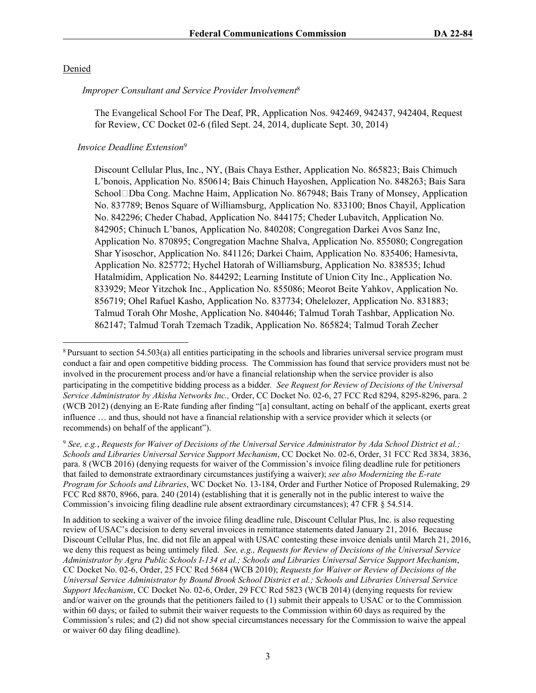#### Denied

 *Improper Consultant and Service Provider Involvement*<sup>8</sup>

The Evangelical School For The Deaf, PR, Application Nos. 942469, 942437, 942404, Request for Review, CC Docket 02-6 (filed Sept. 24, 2014, duplicate Sept. 30, 2014)

### *Invoice Deadline Extension*<sup>9</sup>

Discount Cellular Plus, Inc., NY, (Bais Chaya Esther, Application No. 865823; Bais Chimuch L'bonois, Application No. 850614; Bais Chinuch Hayoshen, Application No. 848263; Bais Sara School□Dba Cong. Machne Haim, Application No. 867948; Bais Trany of Monsey, Application No. 837789; Benos Square of Williamsburg, Application No. 833100; Bnos Chayil, Application No. 842296; Cheder Chabad, Application No. 844175; Cheder Lubavitch, Application No. 842905; Chinuch L'banos, Application No. 840208; Congregation Darkei Avos Sanz Inc, Application No. 870895; Congregation Machne Shalva, Application No. 855080; Congregation Shar Yisoschor, Application No. 841126; Darkei Chaim, Application No. 835406; Hamesivta, Application No. 825772; Hychel Hatorah of Williamsburg, Application No. 838535; Ichud Hatalmidim, Application No. 844292; Learning Institute of Union City Inc., Application No. 833929; Meor Yitzchok Inc., Application No. 855086; Meorot Beite Yahkov, Application No. 856719; Ohel Rafuel Kasho, Application No. 837734; Ohelelozer, Application No. 831883; Talmud Torah Ohr Moshe, Application No. 840446; Talmud Torah Tashbar, Application No. 862147; Talmud Torah Tzemach Tzadik, Application No. 865824; Talmud Torah Zecher

In addition to seeking a waiver of the invoice filing deadline rule, Discount Cellular Plus, Inc. is also requesting review of USAC's decision to deny several invoices in remittance statements dated January 21, 2016. Because Discount Cellular Plus, Inc. did not file an appeal with USAC contesting these invoice denials until March 21, 2016, we deny this request as being untimely filed. *See, e.g., Requests for Review of Decisions of the Universal Service Administrator by Agra Public Schools I-134 et al.; Schools and Libraries Universal Service Support Mechanism*, CC Docket No. 02-6, Order, 25 FCC Rcd 5684 (WCB 2010); *Requests for Waiver or Review of Decisions of the Universal Service Administrator by Bound Brook School District et al.; Schools and Libraries Universal Service Support Mechanism*, CC Docket No. 02-6, Order, 29 FCC Rcd 5823 (WCB 2014) (denying requests for review and/or waiver on the grounds that the petitioners failed to (1) submit their appeals to USAC or to the Commission within 60 days; or failed to submit their waiver requests to the Commission within 60 days as required by the Commission's rules; and (2) did not show special circumstances necessary for the Commission to waive the appeal or waiver 60 day filing deadline).

<sup>8</sup>Pursuant to section 54.503(a) all entities participating in the schools and libraries universal service program must conduct a fair and open competitive bidding process. The Commission has found that service providers must not be involved in the procurement process and/or have a financial relationship when the service provider is also participating in the competitive bidding process as a bidder*. See Request for Review of Decisions of the Universal Service Administrator by Akisha Networks Inc.,* Order, CC Docket No. 02-6, 27 FCC Rcd 8294, 8295-8296, para. 2 (WCB 2012) (denying an E-Rate funding after finding "[a] consultant, acting on behalf of the applicant, exerts great influence … and thus, should not have a financial relationship with a service provider which it selects (or recommends) on behalf of the applicant").

<sup>9</sup> *See, e.g.*, *Requests for Waiver of Decisions of the Universal Service Administrator by Ada School District et al.; Schools and Libraries Universal Service Support Mechanism*, CC Docket No. 02-6, Order, 31 FCC Rcd 3834, 3836, para. 8 (WCB 2016) (denying requests for waiver of the Commission's invoice filing deadline rule for petitioners that failed to demonstrate extraordinary circumstances justifying a waiver); *see also Modernizing the E-rate Program for Schools and Libraries*, WC Docket No. 13-184, Order and Further Notice of Proposed Rulemaking, 29 FCC Rcd 8870, 8966, para. 240 (2014) (establishing that it is generally not in the public interest to waive the Commission's invoicing filing deadline rule absent extraordinary circumstances); 47 CFR § 54.514.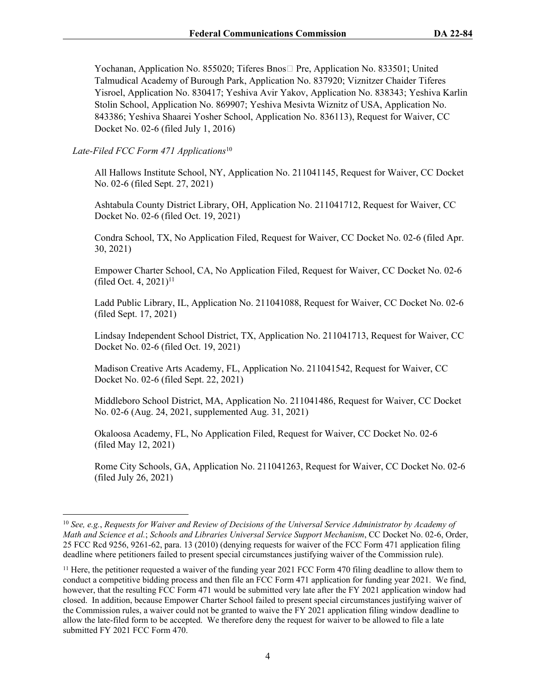Yochanan, Application No. 855020; Tiferes Bnos□ Pre, Application No. 833501; United Talmudical Academy of Burough Park, Application No. 837920; Viznitzer Chaider Tiferes Yisroel, Application No. 830417; Yeshiva Avir Yakov, Application No. 838343; Yeshiva Karlin Stolin School, Application No. 869907; Yeshiva Mesivta Wiznitz of USA, Application No. 843386; Yeshiva Shaarei Yosher School, Application No. 836113), Request for Waiver, CC Docket No. 02-6 (filed July 1, 2016)

### *Late-Filed FCC Form 471 Applications*<sup>10</sup>

All Hallows Institute School, NY, Application No. 211041145, Request for Waiver, CC Docket No. 02-6 (filed Sept. 27, 2021)

Ashtabula County District Library, OH, Application No. 211041712, Request for Waiver, CC Docket No. 02-6 (filed Oct. 19, 2021)

Condra School, TX, No Application Filed, Request for Waiver, CC Docket No. 02-6 (filed Apr. 30, 2021)

Empower Charter School, CA, No Application Filed, Request for Waiver, CC Docket No. 02-6 (filed Oct. 4,  $2021$ )<sup>11</sup>

Ladd Public Library, IL, Application No. 211041088, Request for Waiver, CC Docket No. 02-6 (filed Sept. 17, 2021)

Lindsay Independent School District, TX, Application No. 211041713, Request for Waiver, CC Docket No. 02-6 (filed Oct. 19, 2021)

Madison Creative Arts Academy, FL, Application No. 211041542, Request for Waiver, CC Docket No. 02-6 (filed Sept. 22, 2021)

Middleboro School District, MA, Application No. 211041486, Request for Waiver, CC Docket No. 02-6 (Aug. 24, 2021, supplemented Aug. 31, 2021)

Okaloosa Academy, FL, No Application Filed, Request for Waiver, CC Docket No. 02-6 (filed May 12, 2021)

Rome City Schools, GA, Application No. 211041263, Request for Waiver, CC Docket No. 02-6 (filed July 26, 2021)

<sup>10</sup> *See, e.g.*, *Requests for Waiver and Review of Decisions of the Universal Service Administrator by Academy of Math and Science et al.*; *Schools and Libraries Universal Service Support Mechanism*, CC Docket No. 02-6, Order, 25 FCC Rcd 9256, 9261-62, para. 13 (2010) (denying requests for waiver of the FCC Form 471 application filing deadline where petitioners failed to present special circumstances justifying waiver of the Commission rule).

<sup>&</sup>lt;sup>11</sup> Here, the petitioner requested a waiver of the funding year 2021 FCC Form 470 filing deadline to allow them to conduct a competitive bidding process and then file an FCC Form 471 application for funding year 2021. We find, however, that the resulting FCC Form 471 would be submitted very late after the FY 2021 application window had closed. In addition, because Empower Charter School failed to present special circumstances justifying waiver of the Commission rules, a waiver could not be granted to waive the FY 2021 application filing window deadline to allow the late-filed form to be accepted. We therefore deny the request for waiver to be allowed to file a late submitted FY 2021 FCC Form 470.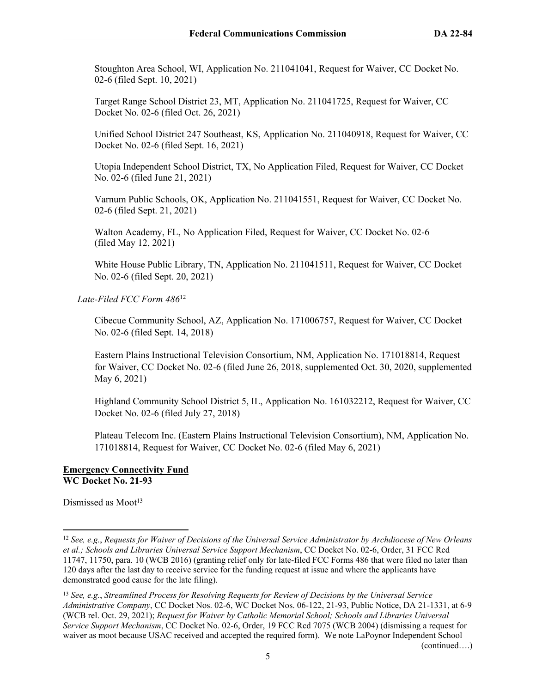Stoughton Area School, WI, Application No. 211041041, Request for Waiver, CC Docket No. 02-6 (filed Sept. 10, 2021)

Target Range School District 23, MT, Application No. 211041725, Request for Waiver, CC Docket No. 02-6 (filed Oct. 26, 2021)

Unified School District 247 Southeast, KS, Application No. 211040918, Request for Waiver, CC Docket No. 02-6 (filed Sept. 16, 2021)

Utopia Independent School District, TX, No Application Filed, Request for Waiver, CC Docket No. 02-6 (filed June 21, 2021)

Varnum Public Schools, OK, Application No. 211041551, Request for Waiver, CC Docket No. 02-6 (filed Sept. 21, 2021)

Walton Academy, FL, No Application Filed, Request for Waiver, CC Docket No. 02-6 (filed May 12, 2021)

White House Public Library, TN, Application No. 211041511, Request for Waiver, CC Docket No. 02-6 (filed Sept. 20, 2021)

 *Late-Filed FCC Form 486*<sup>12</sup> 

Cibecue Community School, AZ, Application No. 171006757, Request for Waiver, CC Docket No. 02-6 (filed Sept. 14, 2018)

Eastern Plains Instructional Television Consortium, NM, Application No. 171018814, Request for Waiver, CC Docket No. 02-6 (filed June 26, 2018, supplemented Oct. 30, 2020, supplemented May 6, 2021)

Highland Community School District 5, IL, Application No. 161032212, Request for Waiver, CC Docket No. 02-6 (filed July 27, 2018)

Plateau Telecom Inc. (Eastern Plains Instructional Television Consortium), NM, Application No. 171018814, Request for Waiver, CC Docket No. 02-6 (filed May 6, 2021)

### **Emergency Connectivity Fund WC Docket No. 21-93**

Dismissed as Moot<sup>13</sup>

<sup>12</sup> *See, e.g.*, *Requests for Waiver of Decisions of the Universal Service Administrator by Archdiocese of New Orleans et al.; Schools and Libraries Universal Service Support Mechanism*, CC Docket No. 02-6, Order, 31 FCC Rcd 11747, 11750, para. 10 (WCB 2016) (granting relief only for late-filed FCC Forms 486 that were filed no later than 120 days after the last day to receive service for the funding request at issue and where the applicants have demonstrated good cause for the late filing).

<sup>13</sup> *See, e.g.*, *Streamlined Process for Resolving Requests for Review of Decisions by the Universal Service Administrative Company*, CC Docket Nos. 02-6, WC Docket Nos. 06-122, 21-93, Public Notice, DA 21-1331, at 6-9 (WCB rel. Oct. 29, 2021); *Request for Waiver by Catholic Memorial School; Schools and Libraries Universal Service Support Mechanism*, CC Docket No. 02-6, Order, 19 FCC Rcd 7075 (WCB 2004) (dismissing a request for waiver as moot because USAC received and accepted the required form). We note LaPoynor Independent School (continued….)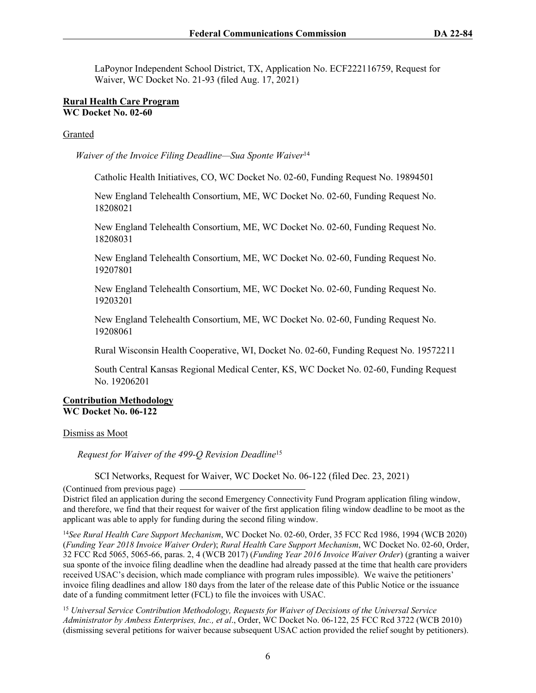LaPoynor Independent School District, TX, Application No. ECF222116759, Request for Waiver, WC Docket No. 21-93 (filed Aug. 17, 2021)

#### **Rural Health Care Program WC Docket No. 02-60**

#### Granted

*Waiver of the Invoice Filing Deadline—Sua Sponte Waiver*<sup>14</sup>

Catholic Health Initiatives, CO, WC Docket No. 02-60, Funding Request No. 19894501

New England Telehealth Consortium, ME, WC Docket No. 02-60, Funding Request No. 18208021

New England Telehealth Consortium, ME, WC Docket No. 02-60, Funding Request No. 18208031

New England Telehealth Consortium, ME, WC Docket No. 02-60, Funding Request No. 19207801

New England Telehealth Consortium, ME, WC Docket No. 02-60, Funding Request No. 19203201

New England Telehealth Consortium, ME, WC Docket No. 02-60, Funding Request No. 19208061

Rural Wisconsin Health Cooperative, WI, Docket No. 02-60, Funding Request No. 19572211

South Central Kansas Regional Medical Center, KS, WC Docket No. 02-60, Funding Request No. 19206201

### **Contribution Methodology WC Docket No. 06-122**

Dismiss as Moot

 *Request for Waiver of the 499-Q Revision Deadline*<sup>15</sup>

SCI Networks, Request for Waiver, WC Docket No. 06-122 (filed Dec. 23, 2021)

(Continued from previous page)

District filed an application during the second Emergency Connectivity Fund Program application filing window, and therefore, we find that their request for waiver of the first application filing window deadline to be moot as the applicant was able to apply for funding during the second filing window.

<sup>14</sup>*See Rural Health Care Support Mechanism*, WC Docket No. 02-60, Order, 35 FCC Rcd 1986, 1994 (WCB 2020) (*Funding Year 2018 Invoice Waiver Order*); *Rural Health Care Support Mechanism*, WC Docket No. 02-60, Order, 32 FCC Rcd 5065, 5065-66, paras. 2, 4 (WCB 2017) (*Funding Year 2016 Invoice Waiver Order*) (granting a waiver sua sponte of the invoice filing deadline when the deadline had already passed at the time that health care providers received USAC's decision, which made compliance with program rules impossible). We waive the petitioners' invoice filing deadlines and allow 180 days from the later of the release date of this Public Notice or the issuance date of a funding commitment letter (FCL) to file the invoices with USAC.

<sup>15</sup> *Universal Service Contribution Methodology, Requests for Waiver of Decisions of the Universal Service Administrator by Ambess Enterprises, Inc., et al*., Order, WC Docket No. 06-122, 25 FCC Rcd 3722 (WCB 2010) (dismissing several petitions for waiver because subsequent USAC action provided the relief sought by petitioners).